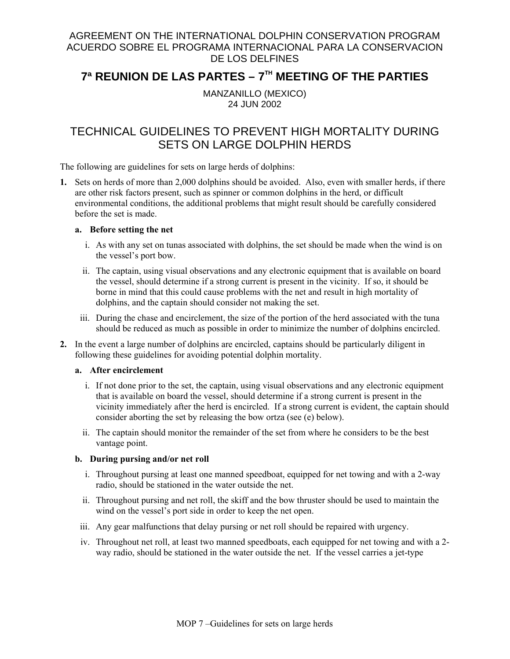### AGREEMENT ON THE INTERNATIONAL DOLPHIN CONSERVATION PROGRAM ACUERDO SOBRE EL PROGRAMA INTERNACIONAL PARA LA CONSERVACION DE LOS DELFINES

# **7ª REUNION DE LAS PARTES – 7TH MEETING OF THE PARTIES**

MANZANILLO (MEXICO) 24 JUN 2002

## TECHNICAL GUIDELINES TO PREVENT HIGH MORTALITY DURING SETS ON LARGE DOLPHIN HERDS

The following are guidelines for sets on large herds of dolphins:

**1.** Sets on herds of more than 2,000 dolphins should be avoided. Also, even with smaller herds, if there are other risk factors present, such as spinner or common dolphins in the herd, or difficult environmental conditions, the additional problems that might result should be carefully considered before the set is made.

#### **a. Before setting the net**

- i. As with any set on tunas associated with dolphins, the set should be made when the wind is on the vessel's port bow.
- ii. The captain, using visual observations and any electronic equipment that is available on board the vessel, should determine if a strong current is present in the vicinity. If so, it should be borne in mind that this could cause problems with the net and result in high mortality of dolphins, and the captain should consider not making the set.
- iii. During the chase and encirclement, the size of the portion of the herd associated with the tuna should be reduced as much as possible in order to minimize the number of dolphins encircled.
- **2.** In the event a large number of dolphins are encircled, captains should be particularly diligent in following these guidelines for avoiding potential dolphin mortality.

#### **a. After encirclement**

- i. If not done prior to the set, the captain, using visual observations and any electronic equipment that is available on board the vessel, should determine if a strong current is present in the vicinity immediately after the herd is encircled. If a strong current is evident, the captain should consider aborting the set by releasing the bow ortza (see (e) below).
- ii. The captain should monitor the remainder of the set from where he considers to be the best vantage point.

#### **b. During pursing and/or net roll**

- i. Throughout pursing at least one manned speedboat, equipped for net towing and with a 2-way radio, should be stationed in the water outside the net.
- ii. Throughout pursing and net roll, the skiff and the bow thruster should be used to maintain the wind on the vessel's port side in order to keep the net open.
- iii. Any gear malfunctions that delay pursing or net roll should be repaired with urgency.
- iv. Throughout net roll, at least two manned speedboats, each equipped for net towing and with a 2 way radio, should be stationed in the water outside the net. If the vessel carries a jet-type